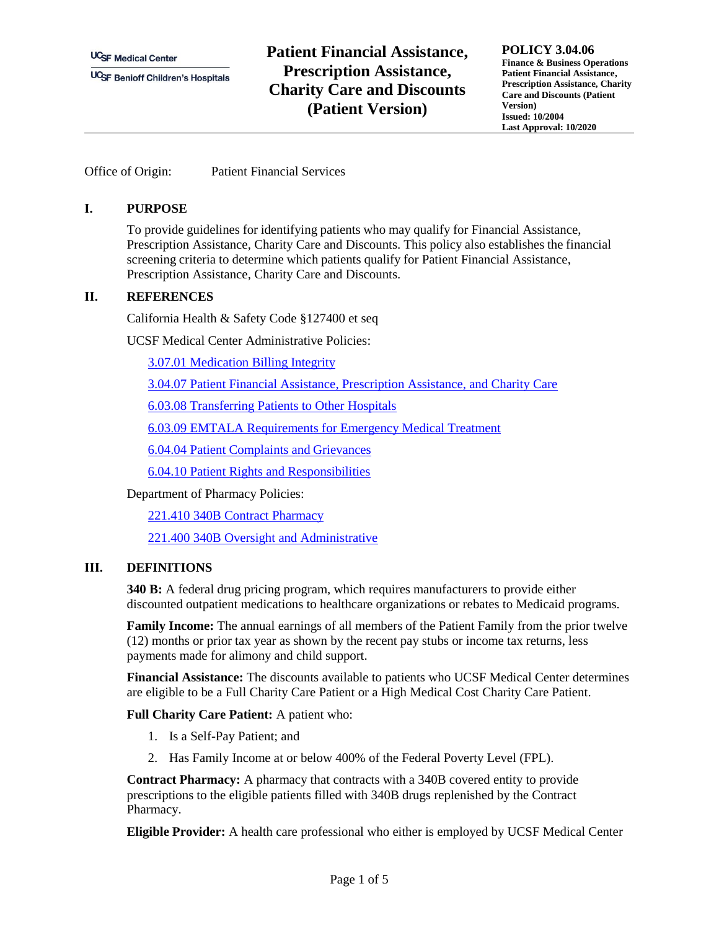**UC<sub>SF</sub>** Medical Center

**UCSF Benioff Children's Hospitals** 

# **Patient Financial Assistance, Prescription Assistance, Charity Care and Discounts (Patient Version)**

**POLICY 3.04.06 Finance & Business Operations Patient Financial Assistance, Prescription Assistance, Charity Care and Discounts (Patient Version) Issued: 10/2004 Last Approval: 10/2020**

Office of Origin: Patient Financial Services

#### **I. PURPOSE**

To provide guidelines for identifying patients who may qualify for Financial Assistance, Prescription Assistance, Charity Care and Discounts. This policy also establishes the financial screening criteria to determine which patients qualify for Patient Financial Assistance, Prescription Assistance, Charity Care and Discounts.

### **II. REFERENCES**

California Health & Safety Code §127400 et seq

UCSF Medical Center Administrative Policies:

[3.07.01 Medication Billing Integrity](https://ucsfpolicies.ucsf.edu/Shared%20Documents/MedicationBillingIntegrity.pdf)

[3.04.07 Patient Financial Assistance, Prescription Assistance, and Charity Care](https://ucsfpolicies.ucsf.edu/Shared%20Documents/PatientFinancialPrescriptionAssistanceandCharityCare.pdf)

[6.03.08 Transferring Patients to Other Hospitals](https://ucsfpolicies.ucsf.edu/Shared%20Documents/TransferringPatientstoOtherHospitals.pdf)

[6.03.09 EMTALA Requirements for Emergency Medical Treatment](https://ucsfpolicies.ucsf.edu/Shared%20Documents/EMTALA_Requirements.pdf)

[6.04.04 Patient Complaints and](https://ucsfpolicies.ucsf.edu/Shared%20Documents/PatientComplaintsandGrievances.pdf) Grievances

[6.04.10 Patient Rights and Responsibilities](https://ucsfpolicies.ucsf.edu/Shared%20Documents/PatientRightsandResponsibilities.pdf)

Department of Pharmacy Policies:

221.410 340B Contract Pharmacy

221.400 340B Oversight and Administrative

### **III. DEFINITIONS**

**340 B:** A federal drug pricing program, which requires manufacturers to provide either discounted outpatient medications to healthcare organizations or rebates to Medicaid programs.

**Family Income:** The annual earnings of all members of the Patient Family from the prior twelve (12) months or prior tax year as shown by the recent pay stubs or income tax returns, less payments made for alimony and child support.

**Financial Assistance:** The discounts available to patients who UCSF Medical Center determines are eligible to be a Full Charity Care Patient or a High Medical Cost Charity Care Patient.

**Full Charity Care Patient:** A patient who:

- 1. Is a Self-Pay Patient; and
- 2. Has Family Income at or below 400% of the Federal Poverty Level (FPL).

**Contract Pharmacy:** A pharmacy that contracts with a 340B covered entity to provide prescriptions to the eligible patients filled with 340B drugs replenished by the Contract Pharmacy.

**Eligible Provider:** A health care professional who either is employed by UCSF Medical Center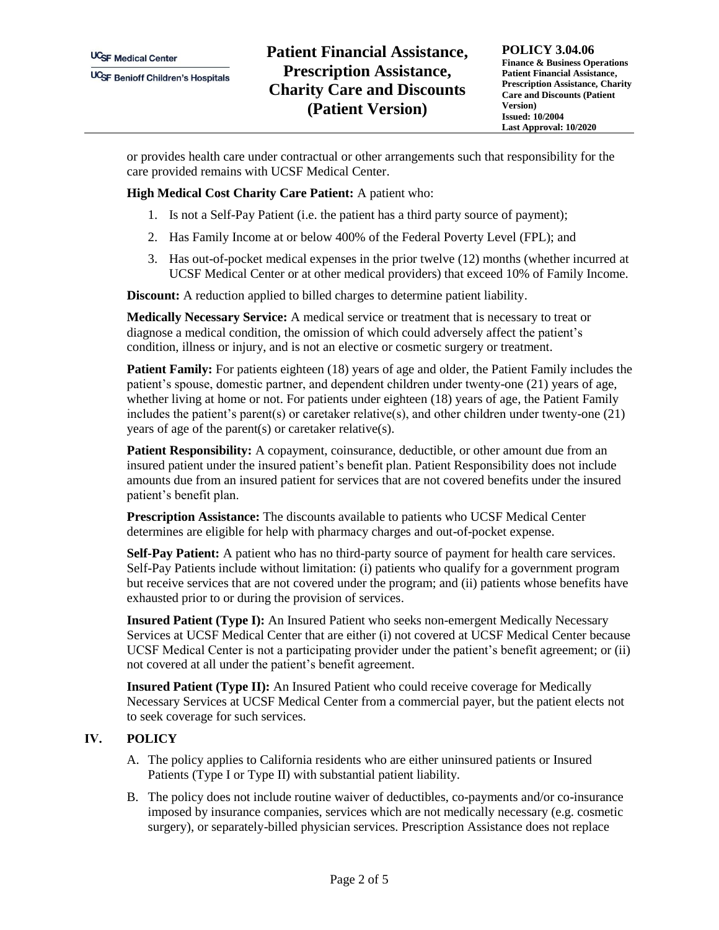**POLICY 3.04.06 Finance & Business Operations Patient Financial Assistance, Prescription Assistance, Charity Care and Discounts (Patient Version) Issued: 10/2004 Last Approval: 10/2020**

or provides health care under contractual or other arrangements such that responsibility for the care provided remains with UCSF Medical Center.

**High Medical Cost Charity Care Patient:** A patient who:

- 1. Is not a Self-Pay Patient (i.e. the patient has a third party source of payment);
- 2. Has Family Income at or below 400% of the Federal Poverty Level (FPL); and
- 3. Has out-of-pocket medical expenses in the prior twelve (12) months (whether incurred at UCSF Medical Center or at other medical providers) that exceed 10% of Family Income.

**Discount:** A reduction applied to billed charges to determine patient liability.

**Medically Necessary Service:** A medical service or treatment that is necessary to treat or diagnose a medical condition, the omission of which could adversely affect the patient's condition, illness or injury, and is not an elective or cosmetic surgery or treatment.

**Patient Family:** For patients eighteen (18) years of age and older, the Patient Family includes the patient's spouse, domestic partner, and dependent children under twenty-one (21) years of age, whether living at home or not. For patients under eighteen (18) years of age, the Patient Family includes the patient's parent(s) or caretaker relative(s), and other children under twenty-one (21) years of age of the parent(s) or caretaker relative(s).

**Patient Responsibility:** A copayment, coinsurance, deductible, or other amount due from an insured patient under the insured patient's benefit plan. Patient Responsibility does not include amounts due from an insured patient for services that are not covered benefits under the insured patient's benefit plan.

**Prescription Assistance:** The discounts available to patients who UCSF Medical Center determines are eligible for help with pharmacy charges and out-of-pocket expense.

**Self-Pay Patient:** A patient who has no third-party source of payment for health care services. Self-Pay Patients include without limitation: (i) patients who qualify for a government program but receive services that are not covered under the program; and (ii) patients whose benefits have exhausted prior to or during the provision of services.

**Insured Patient (Type I):** An Insured Patient who seeks non-emergent Medically Necessary Services at UCSF Medical Center that are either (i) not covered at UCSF Medical Center because UCSF Medical Center is not a participating provider under the patient's benefit agreement; or (ii) not covered at all under the patient's benefit agreement.

**Insured Patient (Type II):** An Insured Patient who could receive coverage for Medically Necessary Services at UCSF Medical Center from a commercial payer, but the patient elects not to seek coverage for such services.

### **IV. POLICY**

- A. The policy applies to California residents who are either uninsured patients or Insured Patients (Type I or Type II) with substantial patient liability.
- B. The policy does not include routine waiver of deductibles, co-payments and/or co-insurance imposed by insurance companies, services which are not medically necessary (e.g. cosmetic surgery), or separately-billed physician services. Prescription Assistance does not replace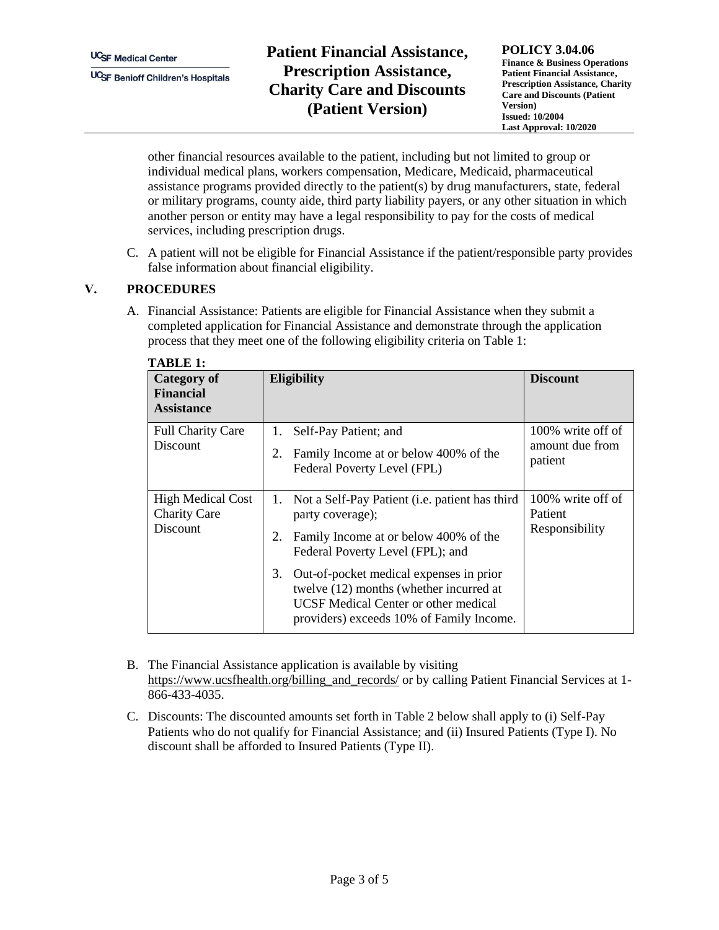# **Patient Financial Assistance, Prescription Assistance, Charity Care and Discounts (Patient Version)**

**POLICY 3.04.06 Finance & Business Operations Patient Financial Assistance, Prescription Assistance, Charity Care and Discounts (Patient Version) Issued: 10/2004 Last Approval: 10/2020**

other financial resources available to the patient, including but not limited to group or individual medical plans, workers compensation, Medicare, Medicaid, pharmaceutical assistance programs provided directly to the patient(s) by drug manufacturers, state, federal or military programs, county aide, third party liability payers, or any other situation in which another person or entity may have a legal responsibility to pay for the costs of medical services, including prescription drugs.

C. A patient will not be eligible for Financial Assistance if the patient/responsible party provides false information about financial eligibility.

### **V. PROCEDURES**

A. Financial Assistance: Patients are eligible for Financial Assistance when they submit a completed application for Financial Assistance and demonstrate through the application process that they meet one of the following eligibility criteria on Table 1:

| Category of<br><b>Financial</b><br><b>Assistance</b>               | <b>Eligibility</b>                                                                                                                                                                  | <b>Discount</b>                                 |  |
|--------------------------------------------------------------------|-------------------------------------------------------------------------------------------------------------------------------------------------------------------------------------|-------------------------------------------------|--|
| <b>Full Charity Care</b><br><b>Discount</b>                        | 1.<br>Self-Pay Patient; and<br>2.<br>Family Income at or below 400% of the<br>Federal Poverty Level (FPL)                                                                           | 100% write off of<br>amount due from<br>patient |  |
| <b>High Medical Cost</b><br><b>Charity Care</b><br><b>Discount</b> | 1. Not a Self-Pay Patient ( <i>i.e.</i> patient has third<br>party coverage);<br>Family Income at or below 400% of the<br>2.<br>Federal Poverty Level (FPL); and                    | 100% write off of<br>Patient<br>Responsibility  |  |
|                                                                    | 3.<br>Out-of-pocket medical expenses in prior<br>twelve (12) months (whether incurred at<br><b>UCSF</b> Medical Center or other medical<br>providers) exceeds 10% of Family Income. |                                                 |  |

- B. The Financial Assistance application is available by visiting [https://www.ucsfhealth.org/billing\\_and\\_records/](https://www.ucsfhealth.org/billing_and_records/) or by calling Patient Financial Services at 1-866-433-4035.
- C. Discounts: The discounted amounts set forth in Table 2 below shall apply to (i) Self-Pay Patients who do not qualify for Financial Assistance; and (ii) Insured Patients (Type I). No discount shall be afforded to Insured Patients (Type II).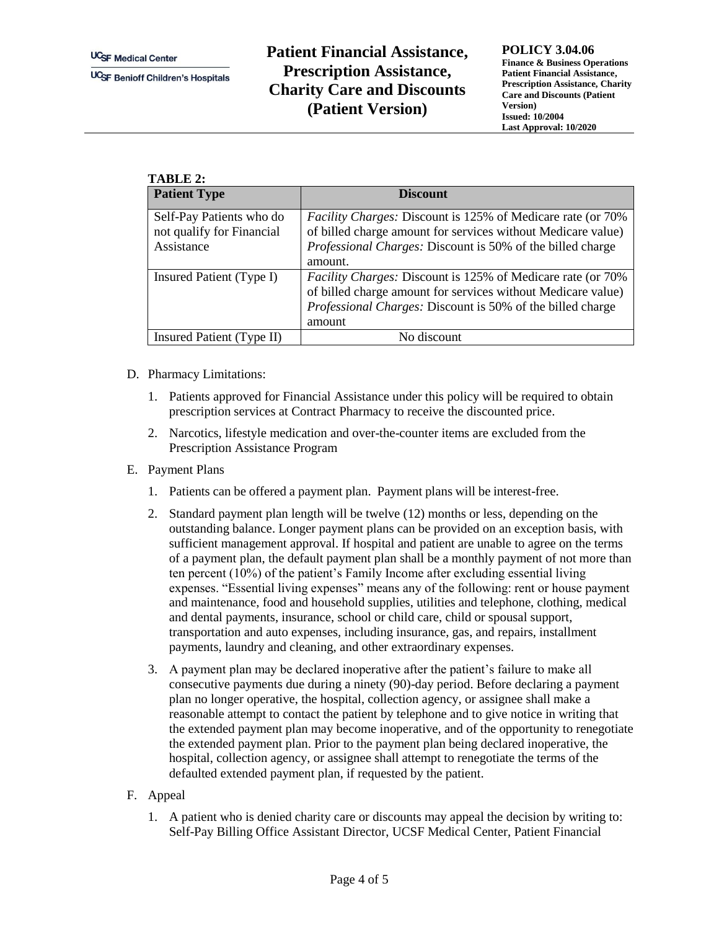## **Patient Financial Assistance, Prescription Assistance, Charity Care and Discounts (Patient Version)**

**POLICY 3.04.06**

**Finance & Business Operations Patient Financial Assistance, Prescription Assistance, Charity Care and Discounts (Patient Version) Issued: 10/2004 Last Approval: 10/2020**

| TABLE 2:                                                            |                                                                                                                                                                                                                     |  |  |
|---------------------------------------------------------------------|---------------------------------------------------------------------------------------------------------------------------------------------------------------------------------------------------------------------|--|--|
| <b>Patient Type</b>                                                 | <b>Discount</b>                                                                                                                                                                                                     |  |  |
| Self-Pay Patients who do<br>not qualify for Financial<br>Assistance | <i>Facility Charges: Discount is 125% of Medicare rate (or 70%)</i><br>of billed charge amount for services without Medicare value)<br><i>Professional Charges: Discount is 50% of the billed charge</i><br>amount. |  |  |
| Insured Patient (Type I)                                            | <i>Facility Charges: Discount is 125% of Medicare rate (or 70%)</i><br>of billed charge amount for services without Medicare value)<br><i>Professional Charges: Discount is 50% of the billed charge</i><br>amount  |  |  |
| Insured Patient (Type II)                                           | No discount                                                                                                                                                                                                         |  |  |

- D. Pharmacy Limitations:
	- 1. Patients approved for Financial Assistance under this policy will be required to obtain prescription services at Contract Pharmacy to receive the discounted price.
	- 2. Narcotics, lifestyle medication and over-the-counter items are excluded from the Prescription Assistance Program
- E. Payment Plans
	- 1. Patients can be offered a payment plan. Payment plans will be interest-free.
	- 2. Standard payment plan length will be twelve (12) months or less, depending on the outstanding balance. Longer payment plans can be provided on an exception basis, with sufficient management approval. If hospital and patient are unable to agree on the terms of a payment plan, the default payment plan shall be a monthly payment of not more than ten percent (10%) of the patient's Family Income after excluding essential living expenses. "Essential living expenses" means any of the following: rent or house payment and maintenance, food and household supplies, utilities and telephone, clothing, medical and dental payments, insurance, school or child care, child or spousal support, transportation and auto expenses, including insurance, gas, and repairs, installment payments, laundry and cleaning, and other extraordinary expenses.
	- 3. A payment plan may be declared inoperative after the patient's failure to make all consecutive payments due during a ninety (90)-day period. Before declaring a payment plan no longer operative, the hospital, collection agency, or assignee shall make a reasonable attempt to contact the patient by telephone and to give notice in writing that the extended payment plan may become inoperative, and of the opportunity to renegotiate the extended payment plan. Prior to the payment plan being declared inoperative, the hospital, collection agency, or assignee shall attempt to renegotiate the terms of the defaulted extended payment plan, if requested by the patient.
- F. Appeal
	- 1. A patient who is denied charity care or discounts may appeal the decision by writing to: Self-Pay Billing Office Assistant Director, UCSF Medical Center, Patient Financial